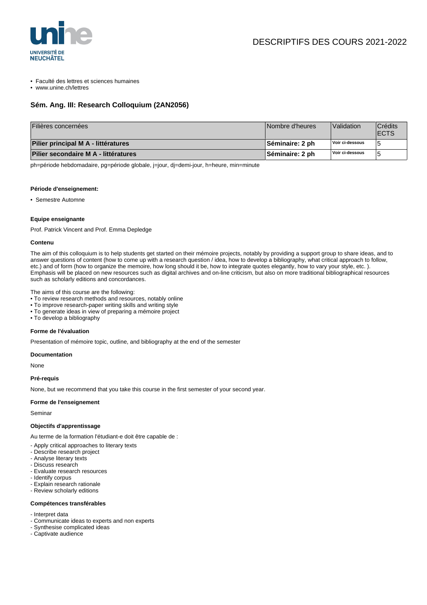

- Faculté des lettres et sciences humaines
- www.unine.ch/lettres

## **Sém. Ang. III: Research Colloquium (2AN2056)**

| Filières concernées                  | Nombre d'heures        | <i>Nalidation</i> | Crédits<br><b>IECTS</b> |
|--------------------------------------|------------------------|-------------------|-------------------------|
| Pilier principal M A - littératures  | ∣Séminaire: 2 ph       | Voir ci-dessous   |                         |
| Pilier secondaire M A - littératures | <b>Séminaire: 2 ph</b> | Voir ci-dessous   |                         |

ph=période hebdomadaire, pg=période globale, j=jour, dj=demi-jour, h=heure, min=minute

#### **Période d'enseignement:**

• Semestre Automne

#### **Equipe enseignante**

Prof. Patrick Vincent and Prof. Emma Depledge

#### **Contenu**

The aim of this colloquium is to help students get started on their mémoire projects, notably by providing a support group to share ideas, and to answer questions of content (how to come up with a research question / idea, how to develop a bibliography, what critical approach to follow, etc.) and of form (how to organize the memoire, how long should it be, how to integrate quotes elegantly, how to vary your style, etc. ). Emphasis will be placed on new resources such as digital archives and on-line criticism, but also on more traditional bibliographical resources such as scholarly editions and concordances.

The aims of this course are the following:

- To review research methods and resources, notably online
- To improve research-paper writing skills and writing style
- To generate ideas in view of preparing a mémoire project
- To develop a bibliography

#### **Forme de l'évaluation**

Presentation of mémoire topic, outline, and bibliography at the end of the semester

#### **Documentation**

None

#### **Pré-requis**

None, but we recommend that you take this course in the first semester of your second year.

#### **Forme de l'enseignement**

Seminar

### **Objectifs d'apprentissage**

Au terme de la formation l'étudiant-e doit être capable de :

- Apply critical approaches to literary texts
- Describe research project
- Analyse literary texts
- Discuss research
- Evaluate research resources
- Identify corpus
- Explain research rationale
- Review scholarly editions

#### **Compétences transférables**

- Interpret data
- Communicate ideas to experts and non experts
- Synthesise complicated ideas
- Captivate audience